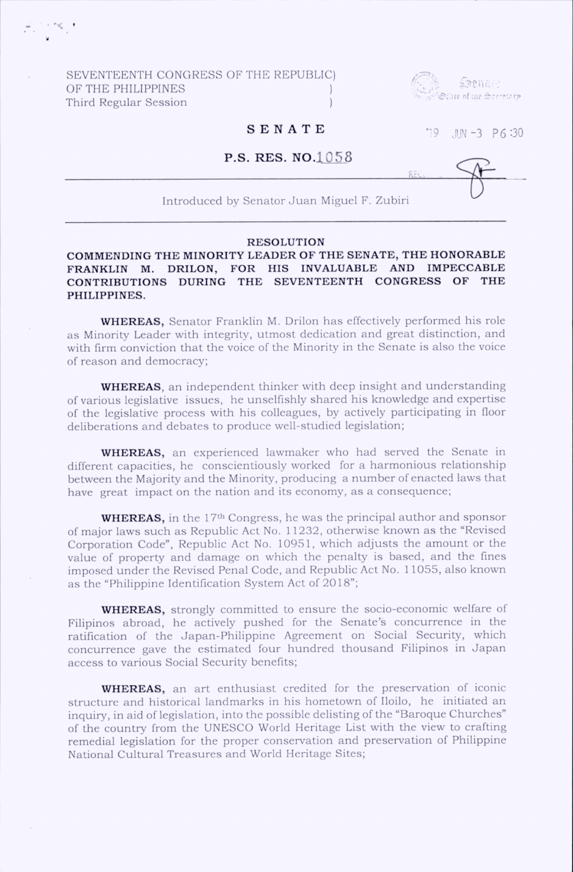SEVENTEENTH CONGRESS OF THE REPUBLIC) OF THE PHILIPPINES Third Regular Session )



# **SENATE** 19 JUN -3 P6:30

### **P.S. RES. NO.1058**

Introduced by Senator Juan Miguel F. Zubiri

# RESOLUTION

## COMMENDING THE MINORITY LEADER OF THE SENATE, THE HONORABLE FRANKLIN M. DRILON, FOR HIS INVALUABLE AND IMPECCABLE CONTRIBUTIONS DURING THE SEVENTEENTH CONGRESS OF THE PHILIPPINES.

WHEREAS, Senator Franklin M. Drilon has effectively performed his role as Minority Leader with integrity, utmost dedication and great distinction, and with firm conviction that the voice of the Minority in the Senate is also the voice of reason and dem ocracy;

WHEREAS, an independent thinker with deep insight and understanding of various legislative issues, he unselfishly shared his knowledge and expertise of the legislative process with his colleagues, by actively participating in floor deliberations and debates to produce well-studied legislation;

WHEREAS, an experienced lawmaker who had served the Senate in different capacities, he conscientiously worked for a harmonious relationship between the Majority and the Minority, producing a number of enacted laws that have great impact on the nation and its economy, as a consequence;

**WHEREAS,** in the 17<sup>th</sup> Congress, he was the principal author and sponsor of major laws such as Republic Act No. 11232, otherwise known as the "Revised Corporation Code", Republic Act No. 10951, which adjusts the amount or the value of property and damage on which the penalty is based, and the fines imposed under the Revised Penal Code, and Republic Act No. 11055, also known as the "Philippine Identification System Act of 2018";

WHEREAS, strongly committed to ensure the socio-economic welfare of Filipinos abroad, he actively pushed for the Senate's concurrence in the ratification of the Japan-Philippine Agreement on Social Security, which concurrence gave the estimated four hundred thousand Filipinos in Japan access to various Social Security benefits;

WHEREAS, an art enthusiast credited for the preservation of iconic structure and historical landmarks in his hometown of Iloilo, he initiated an inquiry, in aid of legislation, into the possible delisting of the "Baroque Churches" of the country from the UNESCO World Heritage List with the view to crafting remedial legislation for the proper conservation and preservation of Philippine National Cultural Treasures and World Heritage Sites;